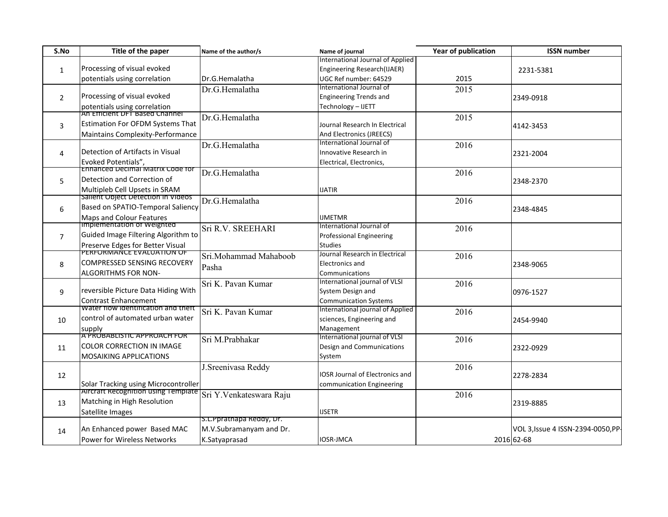| S.No           | Title of the paper                         | Name of the author/s     | Name of journal                  | <b>Year of publication</b> | <b>ISSN number</b>                 |
|----------------|--------------------------------------------|--------------------------|----------------------------------|----------------------------|------------------------------------|
|                |                                            |                          | International Journal of Applied |                            |                                    |
| $\mathbf{1}$   | Processing of visual evoked                |                          | Engineering Research(IJAER)      |                            | 2231-5381                          |
|                | potentials using correlation               | Dr.G.Hemalatha           | UGC Ref number: 64529            | 2015                       |                                    |
| $\overline{2}$ |                                            | Dr.G.Hemalatha           | International Journal of         | 2015                       |                                    |
|                | Processing of visual evoked                |                          | <b>Engineering Trends and</b>    |                            | 2349-0918                          |
|                | potentials using correlation               |                          | Technology - IJETT               |                            |                                    |
|                | An Efficient DFT Based Channel             | Dr.G.Hemalatha           |                                  | 2015                       | 4142-3453                          |
| 3              | <b>Estimation For OFDM Systems That</b>    |                          | Journal Research In Electrical   |                            |                                    |
|                | Maintains Complexity-Performance           |                          | And Electronics (JREECS)         |                            |                                    |
|                |                                            | Dr.G.Hemalatha           | International Journal of         | 2016                       | 2321-2004                          |
| 4              | Detection of Artifacts in Visual           |                          | Innovative Research in           |                            |                                    |
|                | Evoked Potentials",                        |                          | Electrical, Electronics,         |                            |                                    |
|                | Ennanced Decimal Matrix Code for           | Dr.G.Hemalatha           |                                  | 2016                       | 2348-2370                          |
| 5              | Detection and Correction of                |                          |                                  |                            |                                    |
|                | Multipleb Cell Upsets in SRAM              |                          | <b>IJATIR</b>                    |                            |                                    |
|                | sailent Object Detection in Videos         | Dr.G.Hemalatha           |                                  | 2016                       |                                    |
| 6              | Based on SPATIO-Temporal Saliency          |                          |                                  |                            | 2348-4845                          |
|                | Maps and Colour Features                   |                          | <b>IJMETMR</b>                   |                            |                                    |
|                | <b>Impiementation or weignted</b>          | Sri R.V. SREEHARI        | International Journal of         | 2016                       |                                    |
| $\overline{7}$ | Guided Image Filtering Algorithm to        |                          | <b>Professional Engineering</b>  |                            |                                    |
|                | Preserve Edges for Better Visual           |                          | <b>Studies</b>                   |                            |                                    |
|                | PERFORMANCE EVALUATION OF                  | Sri.Mohammad Mahaboob    | Journal Research in Electrical   | 2016                       |                                    |
| 8              | <b>COMPRESSED SENSING RECOVERY</b>         | Pasha                    | Electronics and                  |                            | 2348-9065                          |
|                | <b>ALGORITHMS FOR NON-</b>                 |                          | Communications                   |                            |                                    |
|                |                                            | Sri K. Pavan Kumar       | International journal of VLSI    | 2016                       |                                    |
| 9              | reversible Picture Data Hiding With        |                          | System Design and                |                            | 0976-1527                          |
|                | <b>Contrast Enhancement</b>                |                          | <b>Communication Systems</b>     |                            |                                    |
|                | water flow identification and theft        | Sri K. Pavan Kumar       | International journal of Applied | 2016                       |                                    |
| 10             | control of automated urban water           |                          | sciences, Engineering and        |                            | 2454-9940                          |
|                | supply                                     |                          | Management                       |                            |                                    |
|                | A PROBABLISTIC APPROACH FOR                | Sri M.Prabhakar          | International journal of VLSI    | 2016                       |                                    |
| 11             | <b>COLOR CORRECTION IN IMAGE</b>           |                          | Design and Communications        |                            | 2322-0929                          |
|                | <b>MOSAIKING APPLICATIONS</b>              |                          | System                           |                            |                                    |
|                |                                            | J. Sreenivasa Reddy      |                                  | 2016                       |                                    |
| 12             |                                            |                          | IOSR Journal of Electronics and  |                            | 2278-2834                          |
|                | Solar Tracking using Microcontroller       |                          | communication Engineering        |                            |                                    |
| 13             | <b>AIFCRATT Recognition using Template</b> | Sri Y.Venkateswara Raju  |                                  | 2016                       |                                    |
|                | Matching in High Resolution                |                          |                                  |                            | 2319-8885                          |
|                | Satellite Images                           |                          | <b>IJSETR</b>                    |                            |                                    |
|                |                                            | S.L.Ppratnapa Reddy, Dr. |                                  |                            |                                    |
| 14             | An Enhanced power Based MAC                | M.V.Subramanyam and Dr.  |                                  |                            | VOL 3, Issue 4 ISSN-2394-0050, PP- |
|                | Power for Wireless Networks                | K.Satyaprasad            | IOSR-JMCA                        |                            | 2016 62-68                         |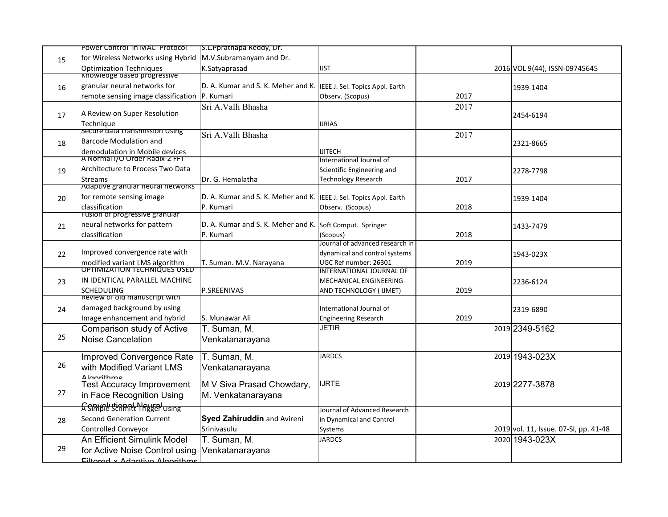| s.L.Ppratnapa Reddy, Dr.<br>POWEr CONtrol in MAC Protocol                                        |                                      |      |                                       |
|--------------------------------------------------------------------------------------------------|--------------------------------------|------|---------------------------------------|
| M.V.Subramanyam and Dr.<br>for Wireless Networks using Hybrid                                    |                                      |      |                                       |
| <b>Optimization Techniques</b><br>K.Satyaprasad                                                  | <b>IJST</b>                          |      | 2016 VOL 9(44), ISSN-09745645         |
| <b>Knowledge based progressive</b>                                                               |                                      |      |                                       |
| granular neural networks for<br>D. A. Kumar and S. K. Meher and K.                               | IEEE J. Sel. Topics Appl. Earth      |      | 1939-1404                             |
| P. Kumari<br>remote sensing image classification                                                 | Observ. (Scopus)                     | 2017 |                                       |
| Sri A.Valli Bhasha                                                                               |                                      | 2017 |                                       |
| A Review on Super Resolution                                                                     |                                      |      | 2454-6194                             |
| Technique                                                                                        | <b>IJRIAS</b>                        |      |                                       |
| secure data transmission Using<br>Sri A.Valli Bhasha                                             |                                      | 2017 |                                       |
| <b>Barcode Modulation and</b>                                                                    |                                      |      | 2321-8665                             |
| demodulation in Mobile devices                                                                   | <b>IJITECH</b>                       |      |                                       |
| A Normal I/O Order Radix-2 FFT                                                                   | International Journal of             |      |                                       |
| Architecture to Process Two Data                                                                 | Scientific Engineering and           |      | 2278-7798                             |
| Dr. G. Hemalatha<br><b>Streams</b>                                                               | <b>Technology Research</b>           | 2017 |                                       |
| Adaptive granular neural networks                                                                |                                      |      |                                       |
| for remote sensing image<br>D. A. Kumar and S. K. Meher and K. IEEE J. Sel. Topics Appl. Earth   |                                      |      | 1939-1404                             |
| classification<br>P. Kumari                                                                      | Observ. (Scopus)                     | 2018 |                                       |
| Fusion of progressive granular                                                                   |                                      |      |                                       |
| neural networks for pattern<br>D. A. Kumar and S. K. Meher and K. Soft Comput. Springer          |                                      |      | 1433-7479                             |
| classification<br>P. Kumari                                                                      | (Scopus)                             | 2018 |                                       |
|                                                                                                  | Journal of advanced research in      |      |                                       |
| Improved convergence rate with                                                                   | dynamical and control systems        |      | 1943-023X                             |
| modified variant LMS algorithm<br>T. Suman. M.V. Narayana<br><b>OPTIMIZATION TECHNIQUES USED</b> | UGC Ref number: 26301                | 2019 |                                       |
|                                                                                                  | <b>INTERNATIONAL JOURNAL OF</b>      |      |                                       |
| IN IDENTICAL PARALLEL MACHINE                                                                    | MECHANICAL ENGINEERING               |      | 2236-6124                             |
| P.SREENIVAS<br><b>SCHEDULING</b><br>Review of old manuscript with                                | AND TECHNOLOGY ( IJMET)              | 2019 |                                       |
| damaged background by using                                                                      | International Journal of             |      |                                       |
| Image enhancement and hybrid                                                                     |                                      | 2019 | 2319-6890                             |
| S. Munawar Ali                                                                                   | <b>Engineering Research</b><br>JETIR |      |                                       |
| T. Suman, M.<br>Comparison study of Active                                                       |                                      |      | 2019 2349-5162                        |
| Noise Cancelation<br>Venkatanarayana                                                             |                                      |      |                                       |
| Improved Convergence Rate<br>T. Suman, M.                                                        | <b>JARDCS</b>                        |      | 2019 1943-023X                        |
|                                                                                                  |                                      |      |                                       |
| with Modified Variant LMS<br>Venkatanarayana                                                     |                                      |      |                                       |
| <b>Algorithme</b><br><b>Test Accuracy Improvement</b><br>M V Siva Prasad Chowdary,               | <b>IJRTE</b>                         |      | 2019 2277-3878                        |
|                                                                                                  |                                      |      |                                       |
| in Face Recognition Using<br>M. Venkatanarayana                                                  |                                      |      |                                       |
| <b>A</b> SIMPILE SCRIMIT LIPPER USING                                                            | Journal of Advanced Research         |      |                                       |
| Syed Zahiruddin and Avireni<br><b>Second Generation Current</b>                                  | in Dynamical and Control             |      |                                       |
| Srinivasulu<br><b>Controlled Conveyor</b>                                                        | Systems                              |      | 2019 vol. 11, Issue. 07-SI, pp. 41-48 |
| An Efficient Simulink Model                                                                      | <b>JARDCS</b>                        |      | 2020 1943-023X                        |
|                                                                                                  |                                      |      |                                       |
| Filtered v Adantive Algorithme                                                                   |                                      |      |                                       |
| T. Suman, M.<br>for Active Noise Control using<br>Venkatanarayana                                |                                      |      |                                       |
|                                                                                                  |                                      |      |                                       |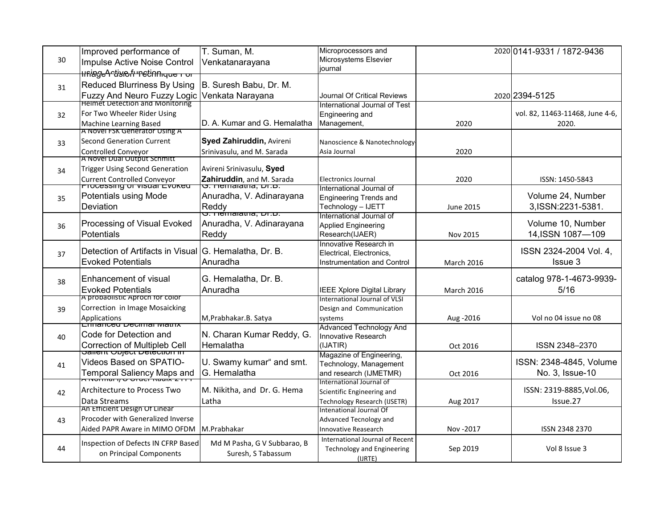|    | Improved performance of                                                      | T. Suman, M.                                                 | Microprocessors and                               |                   | 2020 0141-9331 / 1872-9436      |
|----|------------------------------------------------------------------------------|--------------------------------------------------------------|---------------------------------------------------|-------------------|---------------------------------|
| 30 | Impulse Active Noise Control                                                 | Venkatanarayana                                              | Microsystems Elsevier                             |                   |                                 |
|    | <del>llfiage^rtisio.fr"ettnnique ror</del>                                   |                                                              | iournal                                           |                   |                                 |
| 31 | Reduced Blurriness By Using                                                  | B. Suresh Babu, Dr. M.                                       |                                                   |                   |                                 |
|    | <b>Fuzzy And Neuro Fuzzy Logic</b><br><b>Helmet Detection and Monitoring</b> | Venkata Narayana                                             | Journal Of Critical Reviews                       |                   | 2020 2394-5125                  |
|    |                                                                              |                                                              | International Journal of Test                     |                   |                                 |
| 32 | For Two Wheeler Rider Using                                                  |                                                              | Engineering and                                   |                   | vol. 82, 11463-11468, June 4-6, |
|    | Machine Learning Based<br>A NOVELESK GENETATOR USING A                       | D. A. Kumar and G. Hemalatha                                 | Management,                                       | 2020              | 2020.                           |
| 33 | <b>Second Generation Current</b>                                             | <b>Syed Zahiruddin, Avireni</b>                              | Nanoscience & Nanotechnology-                     |                   |                                 |
|    | Controlled Conveyor                                                          | Srinivasulu, and M. Sarada                                   | Asia Journal                                      | 2020              |                                 |
|    | A Novel Dual Output Schmitt                                                  |                                                              |                                                   |                   |                                 |
| 34 | <b>Trigger Using Second Generation</b>                                       | Avireni Srinivasulu, Syed                                    |                                                   |                   |                                 |
|    | Current Controlled Conveyor<br>TTUCESSING UT VISUAL LYUNEU                   | Zahiruddin, and M. Sarada<br><del>O. Hemalatria, Dr.D.</del> | <b>Electronics Journal</b>                        | 2020              | ISSN: 1450-5843                 |
|    |                                                                              |                                                              | International Journal of                          |                   | Volume 24, Number               |
| 35 | Potentials using Mode                                                        | Anuradha, V. Adinarayana                                     | <b>Engineering Trends and</b>                     |                   |                                 |
|    | Deviation                                                                    | Reddy                                                        | Technology - IJETT<br>International Journal of    | June 2015         | 3, ISSN: 2231-5381.             |
| 36 | Processing of Visual Evoked                                                  | Anuradha, V. Adinarayana                                     | <b>Applied Engineering</b>                        |                   | Volume 10, Number               |
|    | Potentials                                                                   | Reddy                                                        | Research(IJAER)                                   | Nov 2015          | 14, ISSN 1087-109               |
|    |                                                                              |                                                              | Innovative Research in                            |                   |                                 |
| 37 | Detection of Artifacts in Visual G. Hemalatha, Dr. B.                        |                                                              | Electrical, Electronics,                          |                   | ISSN 2324-2004 Vol. 4,          |
|    | <b>Evoked Potentials</b>                                                     | Anuradha                                                     | <b>Instrumentation and Control</b>                | <b>March 2016</b> | Issue 3                         |
|    | Enhancement of visual                                                        | G. Hemalatha, Dr. B.                                         |                                                   |                   | catalog 978-1-4673-9939-        |
| 38 | <b>Evoked Potentials</b>                                                     | Anuradha                                                     | <b>IEEE Xplore Digital Library</b>                | <b>March 2016</b> | 5/16                            |
|    | A probabilistic Aproch for color                                             |                                                              | International Journal of VLSI                     |                   |                                 |
| 39 | Correction in Image Mosaicking                                               |                                                              | Design and Communication                          |                   |                                 |
|    | Applications                                                                 | M, Prabhakar. B. Satya                                       | systems                                           | Aug - 2016        | Vol no 04 issue no 08           |
|    | <del>Eilnanceu Decimai watrix</del><br>Code for Detection and                |                                                              | <b>Advanced Technology And</b>                    |                   |                                 |
| 40 |                                                                              | N. Charan Kumar Reddy, G.<br>Hemalatha                       | Innovative Research                               |                   |                                 |
|    | Correction of Multipleb Cell<br>Salient Coject Detection in                  |                                                              | (IJATIR)<br>Magazine of Engineering,              | Oct 2016          | ISSN 2348-2370                  |
| 41 | Videos Based on SPATIO-                                                      | U. Swamy kumar" and smt.                                     | Technology, Management                            |                   | ISSN: 2348-4845, Volume         |
|    | Temporal Saliency Maps and                                                   | G. Hemalatha                                                 | and research (IJMETMR)                            | Oct 2016          | No. 3, Issue-10                 |
| 42 |                                                                              |                                                              | International Journal of                          |                   |                                 |
|    | Architecture to Process Two                                                  | M. Nikitha, and Dr. G. Hema                                  | Scientific Engineering and                        |                   | ISSN: 2319-8885, Vol.06,        |
|    | Data Streams                                                                 | Latha                                                        | <b>Technology Research (IJSETR)</b>               | Aug 2017          | Issue.27                        |
| 43 | An Efficient Design Of Linear<br>Procoder with Generalized Inverse           |                                                              | Intenational Journal Of<br>Advanced Tecnology and |                   |                                 |
|    | Aided PAPR Aware in MIMO OFDM                                                | M.Prabhakar                                                  | <b>Innovative Reasearch</b>                       | Nov - 2017        | ISSN 2348 2370                  |
|    |                                                                              |                                                              | International Journal of Recent                   |                   |                                 |
| 44 | Inspection of Defects IN CFRP Based                                          | Md M Pasha, G V Subbarao, B                                  | <b>Technology and Engineering</b>                 | Sep 2019          | Vol 8 Issue 3                   |
|    | on Principal Components                                                      | Suresh, S Tabassum                                           | (IJRTE)                                           |                   |                                 |